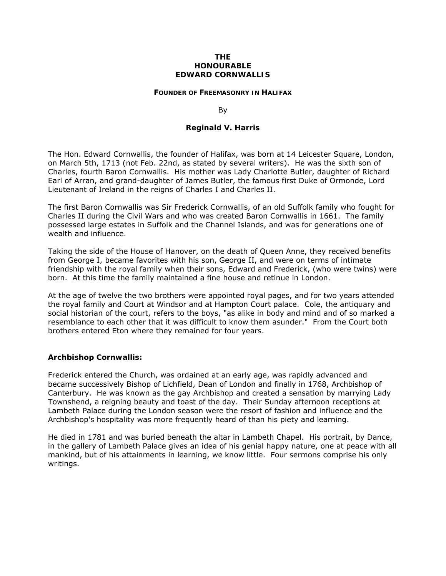#### **THE HONOURABLE EDWARD CORNWALLIS**

#### **FOUNDER OF FREEMASONRY IN HALIFAX**

By

#### **Reginald V. Harris**

The Hon. Edward Cornwallis, the founder of Halifax, was born at 14 Leicester Square, London, on March 5th, 1713 (not Feb. 22nd, as stated by several writers). He was the sixth son of Charles, fourth Baron Cornwallis. His mother was Lady Charlotte Butler, daughter of Richard Earl of Arran, and grand-daughter of James Butler, the famous first Duke of Ormonde, Lord Lieutenant of Ireland in the reigns of Charles I and Charles II.

The first Baron Cornwallis was Sir Frederick Cornwallis, of an old Suffolk family who fought for Charles II during the Civil Wars and who was created Baron Cornwallis in 1661. The family possessed large estates in Suffolk and the Channel Islands, and was for generations one of wealth and influence.

Taking the side of the House of Hanover, on the death of Queen Anne, they received benefits from George I, became favorites with his son, George II, and were on terms of intimate friendship with the royal family when their sons, Edward and Frederick, (who were twins) were born. At this time the family maintained a fine house and retinue in London.

At the age of twelve the two brothers were appointed royal pages, and for two years attended the royal family and Court at Windsor and at Hampton Court palace. Cole, the antiquary and social historian of the court, refers to the boys, "as alike in body and mind and of so marked a resemblance to each other that it was difficult to know them asunder." From the Court both brothers entered Eton where they remained for four years.

#### **Archbishop Cornwallis:**

Frederick entered the Church, was ordained at an early age, was rapidly advanced and became successively Bishop of Lichfield, Dean of London and finally in 1768, Archbishop of Canterbury. He was known as the gay Archbishop and created a sensation by marrying Lady Townshend, a reigning beauty and toast of the day. Their Sunday afternoon receptions at Lambeth Palace during the London season were the resort of fashion and influence and the Archbishop's hospitality was more frequently heard of than his piety and learning.

He died in 1781 and was buried beneath the altar in Lambeth Chapel. His portrait, by Dance, in the gallery of Lambeth Palace gives an idea of his genial happy nature, one at peace with all mankind, but of his attainments in learning, we know little. Four sermons comprise his only writings.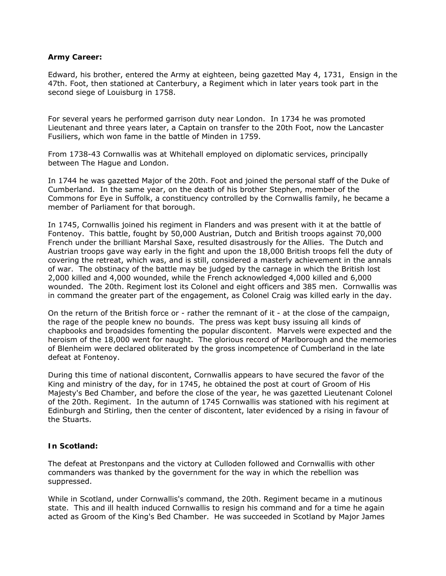### **Army Career:**

Edward, his brother, entered the Army at eighteen, being gazetted May 4, 1731, Ensign in the 47th. Foot, then stationed at Canterbury, a Regiment which in later years took part in the second siege of Louisburg in 1758.

For several years he performed garrison duty near London. In 1734 he was promoted Lieutenant and three years later, a Captain on transfer to the 20th Foot, now the Lancaster Fusiliers, which won fame in the battle of Minden in 1759.

From 1738-43 Cornwallis was at Whitehall employed on diplomatic services, principally between The Hague and London.

In 1744 he was gazetted Major of the 20th. Foot and joined the personal staff of the Duke of Cumberland. In the same year, on the death of his brother Stephen, member of the Commons for Eye in Suffolk, a constituency controlled by the Cornwallis family, he became a member of Parliament for that borough.

In 1745, Cornwallis joined his regiment in Flanders and was present with it at the battle of Fontenoy. This battle, fought by 50,000 Austrian, Dutch and British troops against 70,000 French under the brilliant Marshal Saxe, resulted disastrously for the Allies. The Dutch and Austrian troops gave way early in the fight and upon the 18,000 British troops fell the duty of covering the retreat, which was, and is still, considered a masterly achievement in the annals of war. The obstinacy of the battle may be judged by the carnage in which the British lost 2,000 killed and 4,000 wounded, while the French acknowledged 4,000 killed and 6,000 wounded. The 20th. Regiment lost its Colonel and eight officers and 385 men. Cornwallis was in command the greater part of the engagement, as Colonel Craig was killed early in the day.

On the return of the British force or - rather the remnant of it - at the close of the campaign, the rage of the people knew no bounds. The press was kept busy issuing all kinds of chapbooks and broadsides fomenting the popular discontent. Marvels were expected and the heroism of the 18,000 went for naught. The glorious record of Marlborough and the memories of Blenheim were declared obliterated by the gross incompetence of Cumberland in the late defeat at Fontenoy.

During this time of national discontent, Cornwallis appears to have secured the favor of the King and ministry of the day, for in 1745, he obtained the post at court of Groom of His Majesty's Bed Chamber, and before the close of the year, he was gazetted Lieutenant Colonel of the 20th. Regiment. In the autumn of 1745 Cornwallis was stationed with his regiment at Edinburgh and Stirling, then the center of discontent, later evidenced by a rising in favour of the Stuarts.

# **In Scotland:**

The defeat at Prestonpans and the victory at Culloden followed and Cornwallis with other commanders was thanked by the government for the way in which the rebellion was suppressed.

While in Scotland, under Cornwallis's command, the 20th. Regiment became in a mutinous state. This and ill health induced Cornwallis to resign his command and for a time he again acted as Groom of the King's Bed Chamber. He was succeeded in Scotland by Major James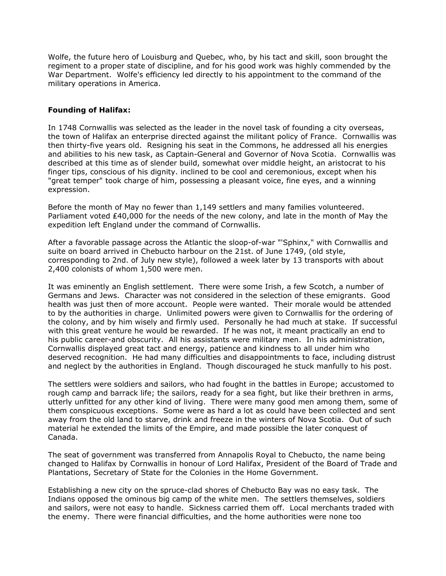Wolfe, the future hero of Louisburg and Quebec, who, by his tact and skill, soon brought the regiment to a proper state of discipline, and for his good work was highly commended by the War Department. Wolfe's efficiency led directly to his appointment to the command of the military operations in America.

# **Founding of Halifax:**

In 1748 Cornwallis was selected as the leader in the novel task of founding a city overseas, the town of Halifax an enterprise directed against the militant policy of France. Cornwallis was then thirty-five years old. Resigning his seat in the Commons, he addressed all his energies and abilities to his new task, as Captain-General and Governor of Nova Scotia. Cornwallis was described at this time as of slender build, somewhat over middle height, an aristocrat to his finger tips, conscious of his dignity. inclined to be cool and ceremonious, except when his "great temper" took charge of him, possessing a pleasant voice, fine eyes, and a winning expression.

Before the month of May no fewer than 1,149 settlers and many families volunteered. Parliament voted £40,000 for the needs of the new colony, and late in the month of May the expedition left England under the command of Cornwallis.

After a favorable passage across the Atlantic the sloop-of-war "'Sphinx," with Cornwallis and suite on board arrived in Chebucto harbour on the 21st. of June 1749, (old style, corresponding to 2nd. of July new style), followed a week later by 13 transports with about 2,400 colonists of whom 1,500 were men.

It was eminently an English settlement. There were some Irish, a few Scotch, a number of Germans and Jews. Character was not considered in the selection of these emigrants. Good health was just then of more account. People were wanted. Their morale would be attended to by the authorities in charge. Unlimited powers were given to Cornwallis for the ordering of the colony, and by him wisely and firmly used. Personally he had much at stake. If successful with this great venture he would be rewarded. If he was not, it meant practically an end to his public career-and obscurity. All his assistants were military men. In his administration, Cornwallis displayed great tact and energy, patience and kindness to all under him who deserved recognition. He had many difficulties and disappointments to face, including distrust and neglect by the authorities in England. Though discouraged he stuck manfully to his post.

The settlers were soldiers and sailors, who had fought in the battles in Europe; accustomed to rough camp and barrack life; the sailors, ready for a sea fight, but like their brethren in arms, utterly unfitted for any other kind of living. There were many good men among them, some of them conspicuous exceptions. Some were as hard a lot as could have been collected and sent away from the old land to starve, drink and freeze in the winters of Nova Scotia. Out of such material he extended the limits of the Empire, and made possible the later conquest of Canada.

The seat of government was transferred from Annapolis Royal to Chebucto, the name being changed to Halifax by Cornwallis in honour of Lord Halifax, President of the Board of Trade and Plantations, Secretary of State for the Colonies in the Home Government.

Establishing a new city on the spruce-clad shores of Chebucto Bay was no easy task. The Indians opposed the ominous big camp of the white men. The settlers themselves, soldiers and sailors, were not easy to handle. Sickness carried them off. Local merchants traded with the enemy. There were financial difficulties, and the home authorities were none too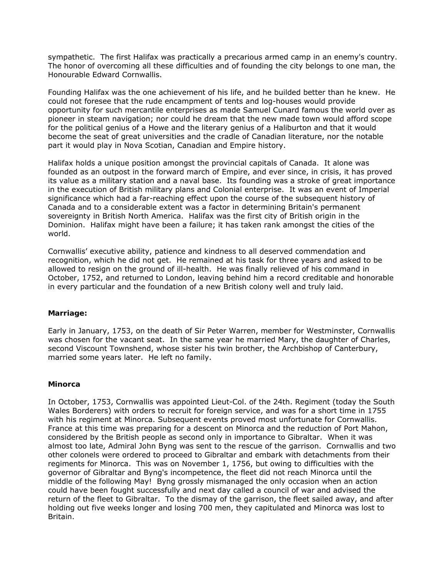sympathetic. The first Halifax was practically a precarious armed camp in an enemy's country. The honor of overcoming all these difficulties and of founding the city belongs to one man, the Honourable Edward Cornwallis.

Founding Halifax was the one achievement of his life, and he builded better than he knew. He could not foresee that the rude encampment of tents and log-houses would provide opportunity for such mercantile enterprises as made Samuel Cunard famous the world over as pioneer in steam navigation; nor could he dream that the new made town would afford scope for the political genius of a Howe and the literary genius of a Haliburton and that it would become the seat of great universities and the cradle of Canadian literature, nor the notable part it would play in Nova Scotian, Canadian and Empire history.

Halifax holds a unique position amongst the provincial capitals of Canada. It alone was founded as an outpost in the forward march of Empire, and ever since, in crisis, it has proved its value as a military station and a naval base. Its founding was a stroke of great importance in the execution of British military plans and Colonial enterprise. It was an event of Imperial significance which had a far-reaching effect upon the course of the subsequent history of Canada and to a considerable extent was a factor in determining Britain's permanent sovereignty in British North America. Halifax was the first city of British origin in the Dominion. Halifax might have been a failure; it has taken rank amongst the cities of the world.

Cornwallis' executive ability, patience and kindness to all deserved commendation and recognition, which he did not get. He remained at his task for three years and asked to be allowed to resign on the ground of ill-health. He was finally relieved of his command in October, 1752, and returned to London, leaving behind him a record creditable and honorable in every particular and the foundation of a new British colony well and truly laid.

# **Marriage:**

Early in January, 1753, on the death of Sir Peter Warren, member for Westminster, Cornwallis was chosen for the vacant seat. In the same year he married Mary, the daughter of Charles, second Viscount Townshend, whose sister his twin brother, the Archbishop of Canterbury, married some years later. He left no family.

# **Minorca**

In October, 1753, Cornwallis was appointed Lieut-Col. of the 24th. Regiment (today the South Wales Borderers) with orders to recruit for foreign service, and was for a short time in 1755 with his regiment at Minorca. Subsequent events proved most unfortunate for Cornwallis. France at this time was preparing for a descent on Minorca and the reduction of Port Mahon, considered by the British people as second only in importance to Gibraltar. When it was almost too late, Admiral John Byng was sent to the rescue of the garrison. Cornwallis and two other colonels were ordered to proceed to Gibraltar and embark with detachments from their regiments for Minorca. This was on November 1, 1756, but owing to difficulties with the governor of Gibraltar and Byng's incompetence, the fleet did not reach Minorca until the middle of the following May! Byng grossly mismanaged the only occasion when an action could have been fought successfully and next day called a council of war and advised the return of the fleet to Gibraltar. To the dismay of the garrison, the fleet sailed away, and after holding out five weeks longer and losing 700 men, they capitulated and Minorca was lost to Britain.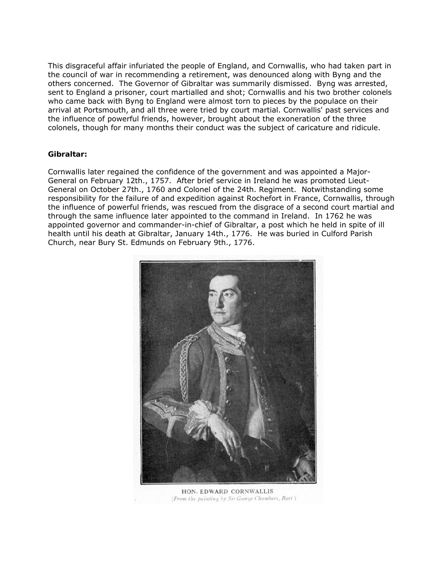This disgraceful affair infuriated the people of England, and Cornwallis, who had taken part in the council of war in recommending a retirement, was denounced along with Byng and the others concerned. The Governor of Gibraltar was summarily dismissed. Byng was arrested, sent to England a prisoner, court martialled and shot; Cornwallis and his two brother colonels who came back with Byng to England were almost torn to pieces by the populace on their arrival at Portsmouth, and all three were tried by court martial. Cornwallis' past services and the influence of powerful friends, however, brought about the exoneration of the three colonels, though for many months their conduct was the subject of caricature and ridicule.

# **Gibraltar:**

Cornwallis later regained the confidence of the government and was appointed a Major-General on February 12th., 1757. After brief service in Ireland he was promoted Lieut-General on October 27th., 1760 and Colonel of the 24th. Regiment. Notwithstanding some responsibility for the failure of and expedition against Rochefort in France, Cornwallis, through the influence of powerful friends, was rescued from the disgrace of a second court martial and through the same influence later appointed to the command in Ireland. In 1762 he was appointed governor and commander-in-chief of Gibraltar, a post which he held in spite of ill health until his death at Gibraltar, January 14th., 1776. He was buried in Culford Parish Church, near Bury St. Edmunds on February 9th., 1776.



HON. EDWARD CORNWALLIS (From the painting by Sir George Chambers, Bart)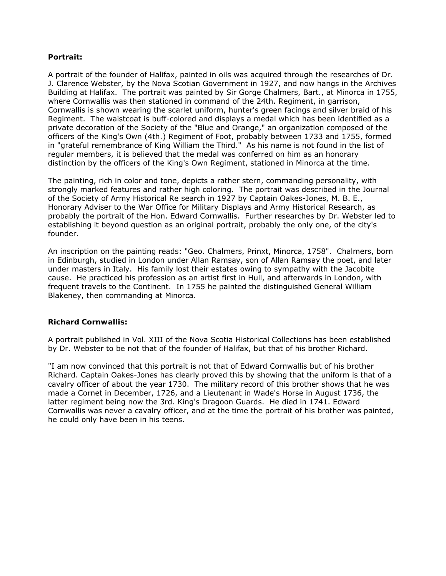### **Portrait:**

A portrait of the founder of Halifax, painted in oils was acquired through the researches of Dr. J. Clarence Webster, by the Nova Scotian Government in 1927, and now hangs in the Archives Building at Halifax. The portrait was painted by Sir Gorge Chalmers, Bart., at Minorca in 1755, where Cornwallis was then stationed in command of the 24th. Regiment, in garrison, Cornwallis is shown wearing the scarlet uniform, hunter's green facings and silver braid of his Regiment. The waistcoat is buff-colored and displays a medal which has been identified as a private decoration of the Society of the "Blue and Orange," an organization composed of the officers of the King's Own (4th.) Regiment of Foot, probably between 1733 and 1755, formed in "grateful remembrance of King William the Third." As his name is not found in the list of regular members, it is believed that the medal was conferred on him as an honorary distinction by the officers of the King's Own Regiment, stationed in Minorca at the time.

The painting, rich in color and tone, depicts a rather stern, commanding personality, with strongly marked features and rather high coloring. The portrait was described in the Journal of the Society of Army Historical Re search in 1927 by Captain Oakes-Jones, M. B. E., Honorary Adviser to the War Office for Military Displays and Army Historical Research, as probably the portrait of the Hon. Edward Cornwallis. Further researches by Dr. Webster led to establishing it beyond question as an original portrait, probably the only one, of the city's founder.

An inscription on the painting reads: "Geo. Chalmers, Prinxt, Minorca, 1758". Chalmers, born in Edinburgh, studied in London under Allan Ramsay, son of Allan Ramsay the poet, and later under masters in Italy. His family lost their estates owing to sympathy with the Jacobite cause. He practiced his profession as an artist first in Hull, and afterwards in London, with frequent travels to the Continent. In 1755 he painted the distinguished General William Blakeney, then commanding at Minorca.

# **Richard Cornwallis:**

A portrait published in Vol. XIII of the Nova Scotia Historical Collections has been established by Dr. Webster to be not that of the founder of Halifax, but that of his brother Richard.

"I am now convinced that this portrait is not that of Edward Cornwallis but of his brother Richard. Captain Oakes-Jones has clearly proved this by showing that the uniform is that of a cavalry officer of about the year 1730. The military record of this brother shows that he was made a Cornet in December, 1726, and a Lieutenant in Wade's Horse in August 1736, the latter regiment being now the 3rd. King's Dragoon Guards. He died in 1741. Edward Cornwallis was never a cavalry officer, and at the time the portrait of his brother was painted, he could only have been in his teens.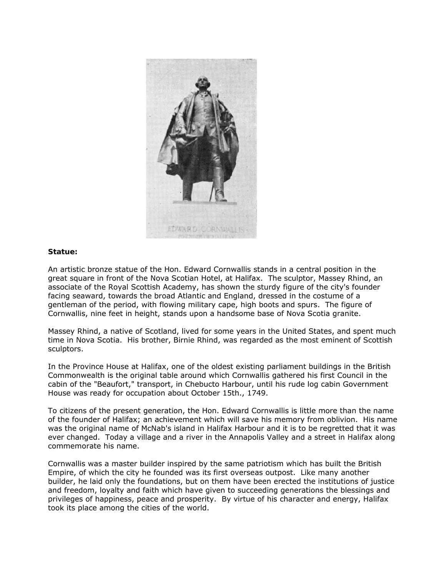

### **Statue:**

An artistic bronze statue of the Hon. Edward Cornwallis stands in a central position in the great square in front of the Nova Scotian Hotel, at Halifax. The sculptor, Massey Rhind, an associate of the Royal Scottish Academy, has shown the sturdy figure of the city's founder facing seaward, towards the broad Atlantic and England, dressed in the costume of a gentleman of the period, with flowing military cape, high boots and spurs. The figure of Cornwallis, nine feet in height, stands upon a handsome base of Nova Scotia granite.

Massey Rhind, a native of Scotland, lived for some years in the United States, and spent much time in Nova Scotia. His brother, Birnie Rhind, was regarded as the most eminent of Scottish sculptors.

In the Province House at Halifax, one of the oldest existing parliament buildings in the British Commonwealth is the original table around which Cornwallis gathered his first Council in the cabin of the "Beaufort," transport, in Chebucto Harbour, until his rude log cabin Government House was ready for occupation about October 15th., 1749.

To citizens of the present generation, the Hon. Edward Cornwallis is little more than the name of the founder of Halifax; an achievement which will save his memory from oblivion. His name was the original name of McNab's island in Halifax Harbour and it is to be regretted that it was ever changed. Today a village and a river in the Annapolis Valley and a street in Halifax along commemorate his name.

Cornwallis was a master builder inspired by the same patriotism which has built the British Empire, of which the city he founded was its first overseas outpost. Like many another builder, he laid only the foundations, but on them have been erected the institutions of justice and freedom, loyalty and faith which have given to succeeding generations the blessings and privileges of happiness, peace and prosperity. By virtue of his character and energy, Halifax took its place among the cities of the world.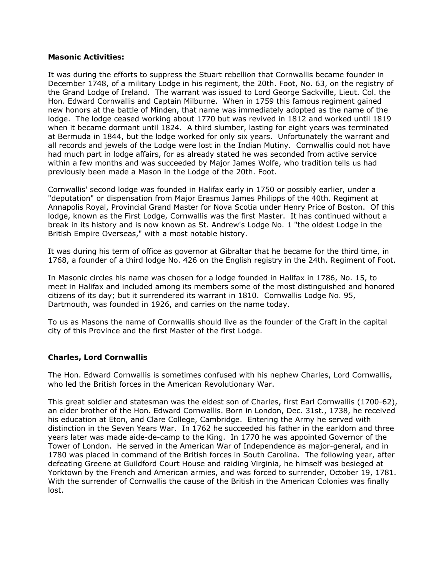### **Masonic Activities:**

It was during the efforts to suppress the Stuart rebellion that Cornwallis became founder in December 1748, of a military Lodge in his regiment, the 20th. Foot, No. 63, on the registry of the Grand Lodge of Ireland. The warrant was issued to Lord George Sackville, Lieut. Col. the Hon. Edward Cornwallis and Captain Milburne. When in 1759 this famous regiment gained new honors at the battle of Minden, that name was immediately adopted as the name of the lodge. The lodge ceased working about 1770 but was revived in 1812 and worked until 1819 when it became dormant until 1824. A third slumber, lasting for eight years was terminated at Bermuda in 1844, but the lodge worked for only six years. Unfortunately the warrant and all records and jewels of the Lodge were lost in the Indian Mutiny. Cornwallis could not have had much part in lodge affairs, for as already stated he was seconded from active service within a few months and was succeeded by Major James Wolfe, who tradition tells us had previously been made a Mason in the Lodge of the 20th. Foot.

Cornwallis' second lodge was founded in Halifax early in 1750 or possibly earlier, under a "deputation" or dispensation from Major Erasmus James Philipps of the 40th. Regiment at Annapolis Royal, Provincial Grand Master for Nova Scotia under Henry Price of Boston. Of this lodge, known as the First Lodge, Cornwallis was the first Master. It has continued without a break in its history and is now known as St. Andrew's Lodge No. 1 "the oldest Lodge in the British Empire Overseas," with a most notable history.

It was during his term of office as governor at Gibraltar that he became for the third time, in 1768, a founder of a third lodge No. 426 on the English registry in the 24th. Regiment of Foot.

In Masonic circles his name was chosen for a lodge founded in Halifax in 1786, No. 15, to meet in Halifax and included among its members some of the most distinguished and honored citizens of its day; but it surrendered its warrant in 1810. Cornwallis Lodge No. 95, Dartmouth, was founded in 1926, and carries on the name today.

To us as Masons the name of Cornwallis should live as the founder of the Craft in the capital city of this Province and the first Master of the first Lodge.

# **Charles, Lord Cornwallis**

The Hon. Edward Cornwallis is sometimes confused with his nephew Charles, Lord Cornwallis, who led the British forces in the American Revolutionary War.

This great soldier and statesman was the eldest son of Charles, first Earl Cornwallis (1700-62), an elder brother of the Hon. Edward Cornwallis. Born in London, Dec. 31st., 1738, he received his education at Eton, and Clare College, Cambridge. Entering the Army he served with distinction in the Seven Years War. In 1762 he succeeded his father in the earldom and three years later was made aide-de-camp to the King. In 1770 he was appointed Governor of the Tower of London. He served in the American War of Independence as major-general, and in 1780 was placed in command of the British forces in South Carolina. The following year, after defeating Greene at Guildford Court House and raiding Virginia, he himself was besieged at Yorktown by the French and American armies, and was forced to surrender, October 19, 1781. With the surrender of Cornwallis the cause of the British in the American Colonies was finally lost.